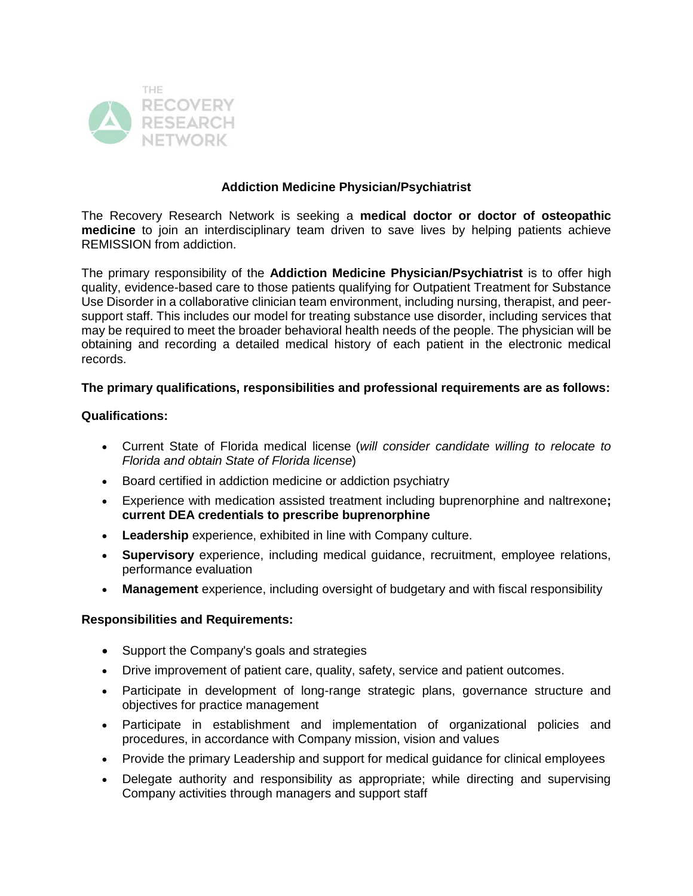

# **Addiction Medicine Physician/Psychiatrist**

The Recovery Research Network is seeking a **medical doctor or doctor of osteopathic medicine** to join an interdisciplinary team driven to save lives by helping patients achieve REMISSION from addiction.

The primary responsibility of the **Addiction Medicine Physician/Psychiatrist** is to offer high quality, evidence-based care to those patients qualifying for Outpatient Treatment for Substance Use Disorder in a collaborative clinician team environment, including nursing, therapist, and peersupport staff. This includes our model for treating substance use disorder, including services that may be required to meet the broader behavioral health needs of the people. The physician will be obtaining and recording a detailed medical history of each patient in the electronic medical records.

## **The primary qualifications, responsibilities and professional requirements are as follows:**

## **Qualifications:**

- Current State of Florida medical license (*will consider candidate willing to relocate to Florida and obtain State of Florida license*)
- Board certified in addiction medicine or addiction psychiatry
- Experience with medication assisted treatment including buprenorphine and naltrexone**; current DEA credentials to prescribe buprenorphine**
- **Leadership** experience, exhibited in line with Company culture.
- **Supervisory** experience, including medical guidance, recruitment, employee relations, performance evaluation
- **Management** experience, including oversight of budgetary and with fiscal responsibility

## **Responsibilities and Requirements:**

- Support the Company's goals and strategies
- Drive improvement of patient care, quality, safety, service and patient outcomes.
- Participate in development of long-range strategic plans, governance structure and objectives for practice management
- Participate in establishment and implementation of organizational policies and procedures, in accordance with Company mission, vision and values
- Provide the primary Leadership and support for medical guidance for clinical employees
- Delegate authority and responsibility as appropriate; while directing and supervising Company activities through managers and support staff